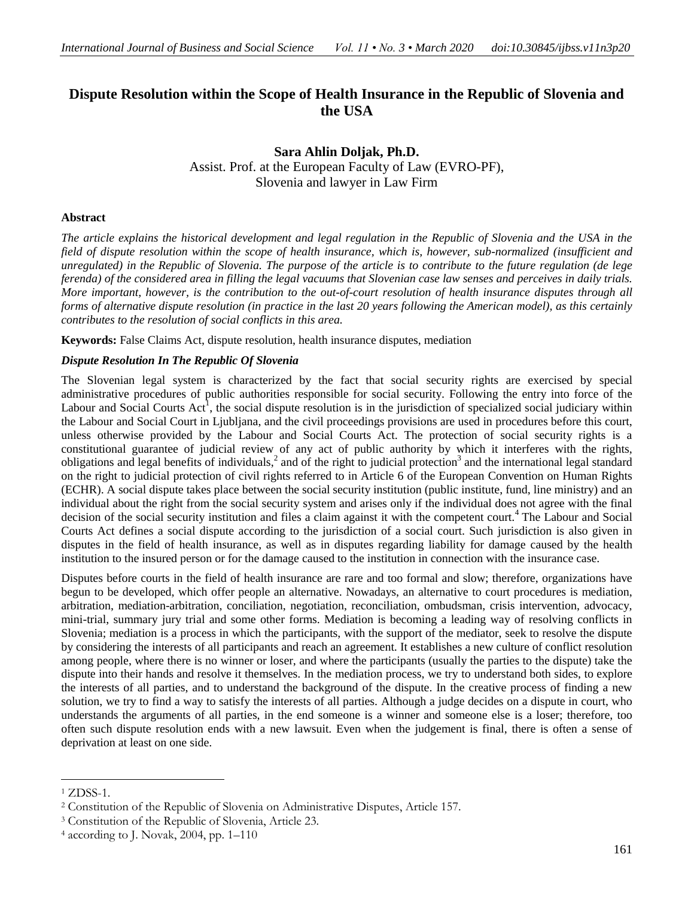# **Dispute Resolution within the Scope of Health Insurance in the Republic of Slovenia and the USA**

**Sara Ahlin Doljak, Ph.D.**  Assist. Prof. at the European Faculty of Law (EVRO-PF), Slovenia and lawyer in Law Firm

# **Abstract**

*The article explains the historical development and legal regulation in the Republic of Slovenia and the USA in the field of dispute resolution within the scope of health insurance, which is, however, sub-normalized (insufficient and unregulated) in the Republic of Slovenia. The purpose of the article is to contribute to the future regulation (de lege ferenda) of the considered area in filling the legal vacuums that Slovenian case law senses and perceives in daily trials. More important, however, is the contribution to the out-of-court resolution of health insurance disputes through all forms of alternative dispute resolution (in practice in the last 20 years following the American model), as this certainly contributes to the resolution of social conflicts in this area.*

**Keywords:** False Claims Act, dispute resolution, health insurance disputes, mediation

#### *Dispute Resolution In The Republic Of Slovenia*

The Slovenian legal system is characterized by the fact that social security rights are exercised by special administrative procedures of public authorities responsible for social security. Following the entry into force of the Labour and Social Courts Act<sup>1</sup>, the social dispute resolution is in the jurisdiction of specialized social judiciary within the Labour and Social Court in Ljubljana, and the civil proceedings provisions are used in procedures before this court, unless otherwise provided by the Labour and Social Courts Act. The protection of social security rights is a constitutional guarantee of judicial review of any act of public authority by which it interferes with the rights, obligations and legal benefits of individuals,<sup>2</sup> and of the right to judicial protection<sup>3</sup> and the international legal standard on the right to judicial protection of civil rights referred to in Article 6 of the European Convention on Human Rights (ECHR). A social dispute takes place between the social security institution (public institute, fund, line ministry) and an individual about the right from the social security system and arises only if the individual does not agree with the final decision of the social security institution and files a claim against it with the competent court.<sup>4</sup> The Labour and Social Courts Act defines a social dispute according to the jurisdiction of a social court. Such jurisdiction is also given in disputes in the field of health insurance, as well as in disputes regarding liability for damage caused by the health institution to the insured person or for the damage caused to the institution in connection with the insurance case.

Disputes before courts in the field of health insurance are rare and too formal and slow; therefore, organizations have begun to be developed, which offer people an alternative. Nowadays, an alternative to court procedures is mediation, arbitration, mediation-arbitration, conciliation, negotiation, reconciliation, ombudsman, crisis intervention, advocacy, mini-trial, summary jury trial and some other forms. Mediation is becoming a leading way of resolving conflicts in Slovenia; mediation is a process in which the participants, with the support of the mediator, seek to resolve the dispute by considering the interests of all participants and reach an agreement. It establishes a new culture of conflict resolution among people, where there is no winner or loser, and where the participants (usually the parties to the dispute) take the dispute into their hands and resolve it themselves. In the mediation process, we try to understand both sides, to explore the interests of all parties, and to understand the background of the dispute. In the creative process of finding a new solution, we try to find a way to satisfy the interests of all parties. Although a judge decides on a dispute in court, who understands the arguments of all parties, in the end someone is a winner and someone else is a loser; therefore, too often such dispute resolution ends with a new lawsuit. Even when the judgement is final, there is often a sense of deprivation at least on one side.

<sup>1</sup> ZDSS-1.

<sup>2</sup> Constitution of the Republic of Slovenia on Administrative Disputes, Article 157.

<sup>3</sup> Constitution of the Republic of Slovenia, Article 23.

 $4$  according to J. Novak, 2004, pp. 1–110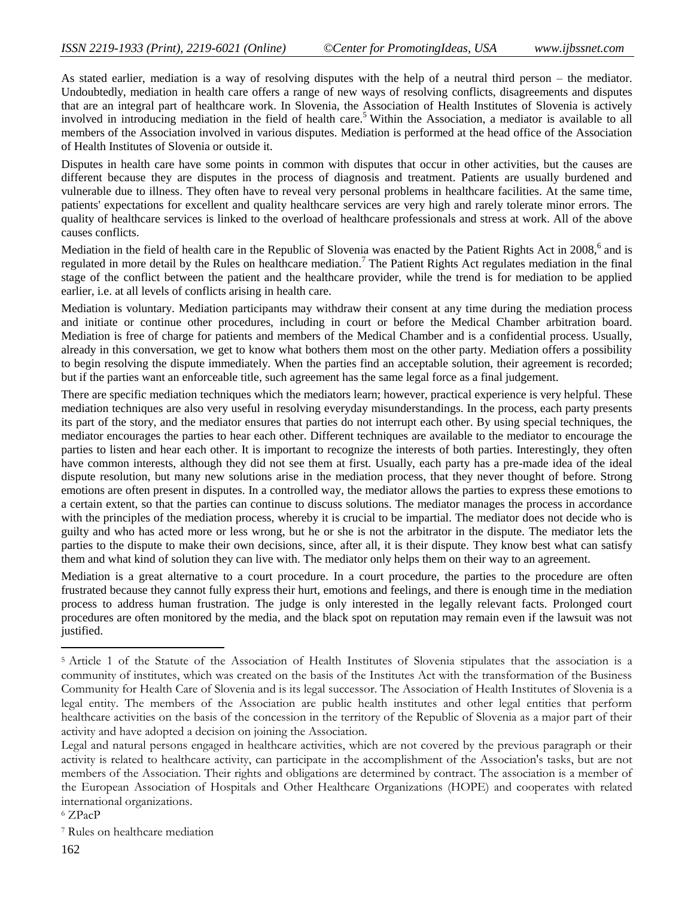As stated earlier, mediation is a way of resolving disputes with the help of a neutral third person – the mediator. Undoubtedly, mediation in health care offers a range of new ways of resolving conflicts, disagreements and disputes that are an integral part of healthcare work. In Slovenia, the Association of Health Institutes of Slovenia is actively involved in introducing mediation in the field of health care.<sup>5</sup> Within the Association, a mediator is available to all members of the Association involved in various disputes. Mediation is performed at the head office of the Association of Health Institutes of Slovenia or outside it.

Disputes in health care have some points in common with disputes that occur in other activities, but the causes are different because they are disputes in the process of diagnosis and treatment. Patients are usually burdened and vulnerable due to illness. They often have to reveal very personal problems in healthcare facilities. At the same time, patients' expectations for excellent and quality healthcare services are very high and rarely tolerate minor errors. The quality of healthcare services is linked to the overload of healthcare professionals and stress at work. All of the above causes conflicts.

Mediation in the field of health care in the Republic of Slovenia was enacted by the Patient Rights Act in 2008,<sup>6</sup> and is regulated in more detail by the Rules on healthcare mediation.<sup>7</sup> The Patient Rights Act regulates mediation in the final stage of the conflict between the patient and the healthcare provider, while the trend is for mediation to be applied earlier, i.e. at all levels of conflicts arising in health care.

Mediation is voluntary. Mediation participants may withdraw their consent at any time during the mediation process and initiate or continue other procedures, including in court or before the Medical Chamber arbitration board. Mediation is free of charge for patients and members of the Medical Chamber and is a confidential process. Usually, already in this conversation, we get to know what bothers them most on the other party. Mediation offers a possibility to begin resolving the dispute immediately. When the parties find an acceptable solution, their agreement is recorded; but if the parties want an enforceable title, such agreement has the same legal force as a final judgement.

There are specific mediation techniques which the mediators learn; however, practical experience is very helpful. These mediation techniques are also very useful in resolving everyday misunderstandings. In the process, each party presents its part of the story, and the mediator ensures that parties do not interrupt each other. By using special techniques, the mediator encourages the parties to hear each other. Different techniques are available to the mediator to encourage the parties to listen and hear each other. It is important to recognize the interests of both parties. Interestingly, they often have common interests, although they did not see them at first. Usually, each party has a pre-made idea of the ideal dispute resolution, but many new solutions arise in the mediation process, that they never thought of before. Strong emotions are often present in disputes. In a controlled way, the mediator allows the parties to express these emotions to a certain extent, so that the parties can continue to discuss solutions. The mediator manages the process in accordance with the principles of the mediation process, whereby it is crucial to be impartial. The mediator does not decide who is guilty and who has acted more or less wrong, but he or she is not the arbitrator in the dispute. The mediator lets the parties to the dispute to make their own decisions, since, after all, it is their dispute. They know best what can satisfy them and what kind of solution they can live with. The mediator only helps them on their way to an agreement.

Mediation is a great alternative to a court procedure. In a court procedure, the parties to the procedure are often frustrated because they cannot fully express their hurt, emotions and feelings, and there is enough time in the mediation process to address human frustration. The judge is only interested in the legally relevant facts. Prolonged court procedures are often monitored by the media, and the black spot on reputation may remain even if the lawsuit was not justified.

<sup>6</sup> ZPacP

<sup>5</sup> Article 1 of the Statute of the Association of Health Institutes of Slovenia stipulates that the association is a community of institutes, which was created on the basis of the Institutes Act with the transformation of the Business Community for Health Care of Slovenia and is its legal successor. The Association of Health Institutes of Slovenia is a legal entity. The members of the Association are public health institutes and other legal entities that perform healthcare activities on the basis of the concession in the territory of the Republic of Slovenia as a major part of their activity and have adopted a decision on joining the Association.

Legal and natural persons engaged in healthcare activities, which are not covered by the previous paragraph or their activity is related to healthcare activity, can participate in the accomplishment of the Association's tasks, but are not members of the Association. Their rights and obligations are determined by contract. The association is a member of the European Association of Hospitals and Other Healthcare Organizations (HOPE) and cooperates with related international organizations.

<sup>7</sup> Rules on healthcare mediation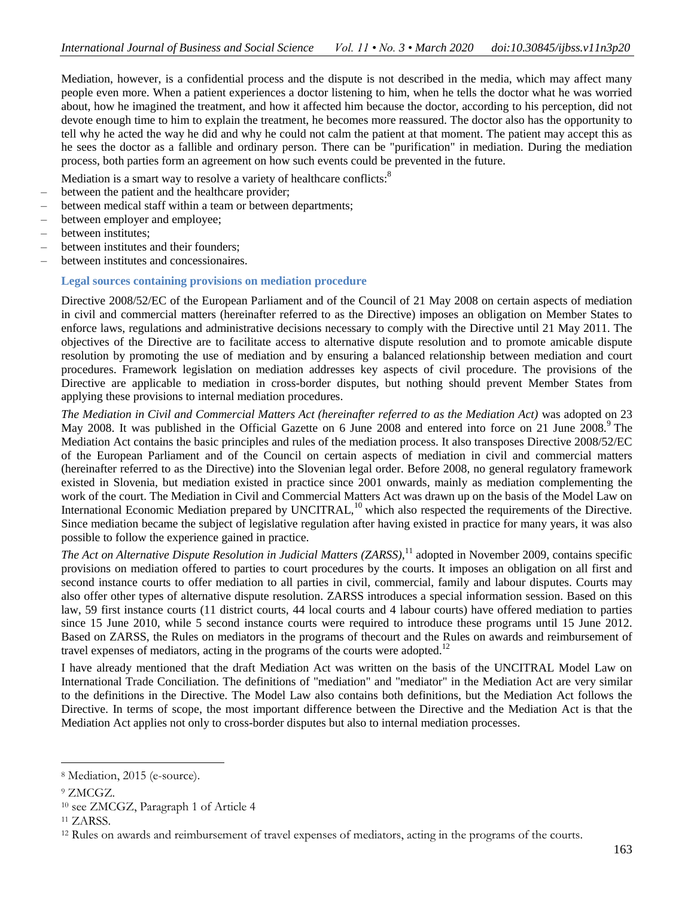Mediation, however, is a confidential process and the dispute is not described in the media, which may affect many people even more. When a patient experiences a doctor listening to him, when he tells the doctor what he was worried about, how he imagined the treatment, and how it affected him because the doctor, according to his perception, did not devote enough time to him to explain the treatment, he becomes more reassured. The doctor also has the opportunity to tell why he acted the way he did and why he could not calm the patient at that moment. The patient may accept this as he sees the doctor as a fallible and ordinary person. There can be "purification" in mediation. During the mediation process, both parties form an agreement on how such events could be prevented in the future.

Mediation is a smart way to resolve a variety of healthcare conflicts:<sup>8</sup>

- between the patient and the healthcare provider;
- between medical staff within a team or between departments;
- between employer and employee;
- between institutes:
- between institutes and their founders;
- between institutes and concessionaires.

#### **Legal sources containing provisions on mediation procedure**

Directive 2008/52/EC of the European Parliament and of the Council of 21 May 2008 on certain aspects of mediation in civil and commercial matters (hereinafter referred to as the Directive) imposes an obligation on Member States to enforce laws, regulations and administrative decisions necessary to comply with the Directive until 21 May 2011. The objectives of the Directive are to facilitate access to alternative dispute resolution and to promote amicable dispute resolution by promoting the use of mediation and by ensuring a balanced relationship between mediation and court procedures. Framework legislation on mediation addresses key aspects of civil procedure. The provisions of the Directive are applicable to mediation in cross-border disputes, but nothing should prevent Member States from applying these provisions to internal mediation procedures.

*The Mediation in Civil and Commercial Matters Act (hereinafter referred to as the Mediation Act)* was adopted on 23 May 2008. It was published in the Official Gazette on 6 June 2008 and entered into force on 21 June 2008.<sup>9</sup> The Mediation Act contains the basic principles and rules of the mediation process. It also transposes Directive 2008/52/EC of the European Parliament and of the Council on certain aspects of mediation in civil and commercial matters (hereinafter referred to as the Directive) into the Slovenian legal order. Before 2008, no general regulatory framework existed in Slovenia, but mediation existed in practice since 2001 onwards, mainly as mediation complementing the work of the court. The Mediation in Civil and Commercial Matters Act was drawn up on the basis of the Model Law on International Economic Mediation prepared by UNCITRAL,<sup>10</sup> which also respected the requirements of the Directive. Since mediation became the subject of legislative regulation after having existed in practice for many years, it was also possible to follow the experience gained in practice.

*The Act on Alternative Dispute Resolution in Judicial Matters (ZARSS),*<sup>11</sup> adopted in November 2009, contains specific provisions on mediation offered to parties to court procedures by the courts. It imposes an obligation on all first and second instance courts to offer mediation to all parties in civil, commercial, family and labour disputes. Courts may also offer other types of alternative dispute resolution. ZARSS introduces a special information session. Based on this law, 59 first instance courts (11 district courts, 44 local courts and 4 labour courts) have offered mediation to parties since 15 June 2010, while 5 second instance courts were required to introduce these programs until 15 June 2012. Based on ZARSS, the Rules on mediators in the programs of thecourt and the Rules on awards and reimbursement of travel expenses of mediators, acting in the programs of the courts were adopted.<sup>12</sup>

I have already mentioned that the draft Mediation Act was written on the basis of the UNCITRAL Model Law on International Trade Conciliation. The definitions of "mediation" and "mediator" in the Mediation Act are very similar to the definitions in the Directive. The Model Law also contains both definitions, but the Mediation Act follows the Directive. In terms of scope, the most important difference between the Directive and the Mediation Act is that the Mediation Act applies not only to cross-border disputes but also to internal mediation processes.

<sup>8</sup> Mediation, 2015 (e-source).

<sup>9</sup> ZMCGZ.

<sup>10</sup> see ZMCGZ, Paragraph 1 of Article 4

<sup>11</sup> ZARSS.

<sup>12</sup> Rules on awards and reimbursement of travel expenses of mediators, acting in the programs of the courts.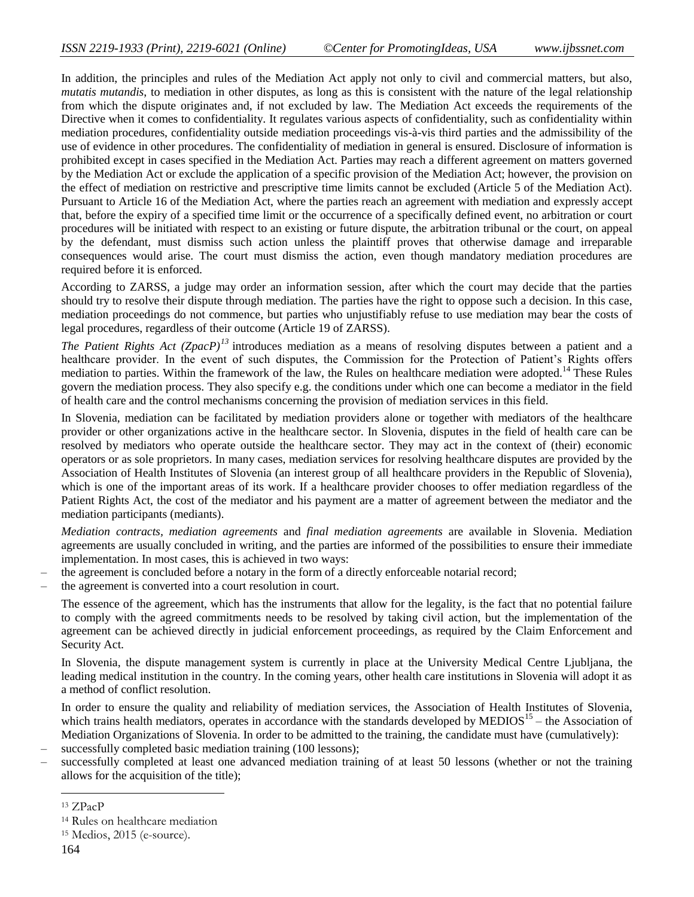In addition, the principles and rules of the Mediation Act apply not only to civil and commercial matters, but also, *mutatis mutandis*, to mediation in other disputes, as long as this is consistent with the nature of the legal relationship from which the dispute originates and, if not excluded by law. The Mediation Act exceeds the requirements of the Directive when it comes to confidentiality. It regulates various aspects of confidentiality, such as confidentiality within mediation procedures, confidentiality outside mediation proceedings vis-à-vis third parties and the admissibility of the use of evidence in other procedures. The confidentiality of mediation in general is ensured. Disclosure of information is prohibited except in cases specified in the Mediation Act. Parties may reach a different agreement on matters governed by the Mediation Act or exclude the application of a specific provision of the Mediation Act; however, the provision on the effect of mediation on restrictive and prescriptive time limits cannot be excluded (Article 5 of the Mediation Act). Pursuant to Article 16 of the Mediation Act, where the parties reach an agreement with mediation and expressly accept that, before the expiry of a specified time limit or the occurrence of a specifically defined event, no arbitration or court procedures will be initiated with respect to an existing or future dispute, the arbitration tribunal or the court, on appeal by the defendant, must dismiss such action unless the plaintiff proves that otherwise damage and irreparable consequences would arise. The court must dismiss the action, even though mandatory mediation procedures are required before it is enforced.

According to ZARSS, a judge may order an information session, after which the court may decide that the parties should try to resolve their dispute through mediation. The parties have the right to oppose such a decision. In this case, mediation proceedings do not commence, but parties who unjustifiably refuse to use mediation may bear the costs of legal procedures, regardless of their outcome (Article 19 of ZARSS).

*The Patient Rights Act (ZpacP)<sup>13</sup>* introduces mediation as a means of resolving disputes between a patient and a healthcare provider. In the event of such disputes, the Commission for the Protection of Patient's Rights offers mediation to parties. Within the framework of the law, the Rules on healthcare mediation were adopted.<sup>14</sup> These Rules govern the mediation process. They also specify e.g. the conditions under which one can become a mediator in the field of health care and the control mechanisms concerning the provision of mediation services in this field.

In Slovenia, mediation can be facilitated by mediation providers alone or together with mediators of the healthcare provider or other organizations active in the healthcare sector. In Slovenia, disputes in the field of health care can be resolved by mediators who operate outside the healthcare sector. They may act in the context of (their) economic operators or as sole proprietors. In many cases, mediation services for resolving healthcare disputes are provided by the Association of Health Institutes of Slovenia (an interest group of all healthcare providers in the Republic of Slovenia), which is one of the important areas of its work. If a healthcare provider chooses to offer mediation regardless of the Patient Rights Act, the cost of the mediator and his payment are a matter of agreement between the mediator and the mediation participants (mediants).

*Mediation contracts, mediation agreements* and *final mediation agreements* are available in Slovenia. Mediation agreements are usually concluded in writing, and the parties are informed of the possibilities to ensure their immediate implementation. In most cases, this is achieved in two ways:

- the agreement is concluded before a notary in the form of a directly enforceable notarial record;
- the agreement is converted into a court resolution in court.

The essence of the agreement, which has the instruments that allow for the legality, is the fact that no potential failure to comply with the agreed commitments needs to be resolved by taking civil action, but the implementation of the agreement can be achieved directly in judicial enforcement proceedings, as required by the Claim Enforcement and Security Act.

In Slovenia, the dispute management system is currently in place at the University Medical Centre Ljubljana, the leading medical institution in the country. In the coming years, other health care institutions in Slovenia will adopt it as a method of conflict resolution.

In order to ensure the quality and reliability of mediation services, the Association of Health Institutes of Slovenia, which trains health mediators, operates in accordance with the standards developed by  $\text{MEDIOS}^{15}$  – the Association of Mediation Organizations of Slovenia. In order to be admitted to the training, the candidate must have (cumulatively): successfully completed basic mediation training (100 lessons);

– successfully completed at least one advanced mediation training of at least 50 lessons (whether or not the training allows for the acquisition of the title);

<sup>13</sup> ZPacP

<sup>14</sup> Rules on healthcare mediation

<sup>15</sup> Medios, 2015 (e-source).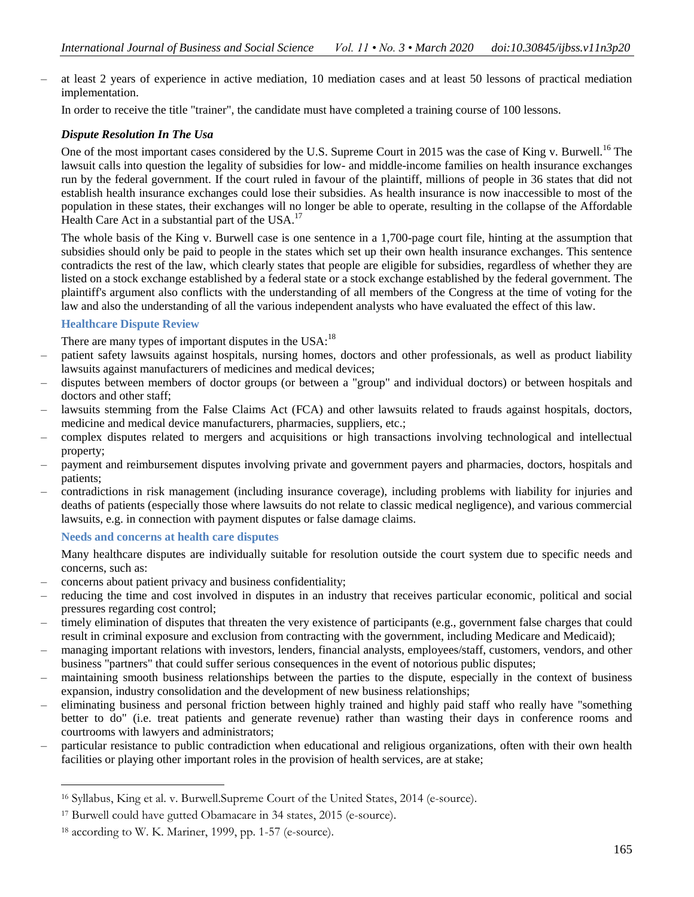– at least 2 years of experience in active mediation, 10 mediation cases and at least 50 lessons of practical mediation implementation.

In order to receive the title "trainer", the candidate must have completed a training course of 100 lessons.

# *Dispute Resolution In The Usa*

One of the most important cases considered by the U.S. Supreme Court in 2015 was the case of King v. Burwell.<sup>16</sup> The lawsuit calls into question the legality of subsidies for low- and middle-income families on health insurance exchanges run by the federal government. If the court ruled in favour of the plaintiff, millions of people in 36 states that did not establish health insurance exchanges could lose their subsidies. As health insurance is now inaccessible to most of the population in these states, their exchanges will no longer be able to operate, resulting in the collapse of the Affordable Health Care Act in a substantial part of the USA.<sup>17</sup>

The whole basis of the King v. Burwell case is one sentence in a 1,700-page court file, hinting at the assumption that subsidies should only be paid to people in the states which set up their own health insurance exchanges. This sentence contradicts the rest of the law, which clearly states that people are eligible for subsidies, regardless of whether they are listed on a stock exchange established by a federal state or a stock exchange established by the federal government. The plaintiff's argument also conflicts with the understanding of all members of the Congress at the time of voting for the law and also the understanding of all the various independent analysts who have evaluated the effect of this law.

# **Healthcare Dispute Review**

There are many types of important disputes in the  $USA:$ <sup>18</sup>

- patient safety lawsuits against hospitals, nursing homes, doctors and other professionals, as well as product liability lawsuits against manufacturers of medicines and medical devices;
- disputes between members of doctor groups (or between a "group" and individual doctors) or between hospitals and doctors and other staff;
- lawsuits stemming from the False Claims Act (FCA) and other lawsuits related to frauds against hospitals, doctors, medicine and medical device manufacturers, pharmacies, suppliers, etc.;
- complex disputes related to mergers and acquisitions or high transactions involving technological and intellectual property;
- payment and reimbursement disputes involving private and government payers and pharmacies, doctors, hospitals and patients;
- contradictions in risk management (including insurance coverage), including problems with liability for injuries and deaths of patients (especially those where lawsuits do not relate to classic medical negligence), and various commercial lawsuits, e.g. in connection with payment disputes or false damage claims.

#### **Needs and concerns at health care disputes**

Many healthcare disputes are individually suitable for resolution outside the court system due to specific needs and concerns, such as:

- concerns about patient privacy and business confidentiality;
- reducing the time and cost involved in disputes in an industry that receives particular economic, political and social pressures regarding cost control;
- timely elimination of disputes that threaten the very existence of participants (e.g., government false charges that could result in criminal exposure and exclusion from contracting with the government, including Medicare and Medicaid);
- managing important relations with investors, lenders, financial analysts, employees/staff, customers, vendors, and other business "partners" that could suffer serious consequences in the event of notorious public disputes;
- maintaining smooth business relationships between the parties to the dispute, especially in the context of business expansion, industry consolidation and the development of new business relationships;
- eliminating business and personal friction between highly trained and highly paid staff who really have "something better to do" (i.e. treat patients and generate revenue) rather than wasting their days in conference rooms and courtrooms with lawyers and administrators;
- particular resistance to public contradiction when educational and religious organizations, often with their own health facilities or playing other important roles in the provision of health services, are at stake;

<sup>16</sup> Syllabus, King et al. v. Burwell.Supreme Court of the United States, 2014 (e-source).

<sup>17</sup> Burwell could have gutted Obamacare in 34 states, 2015 (e-source).

<sup>18</sup> according to W. K. Mariner, 1999, pp. 1-57 (e-source).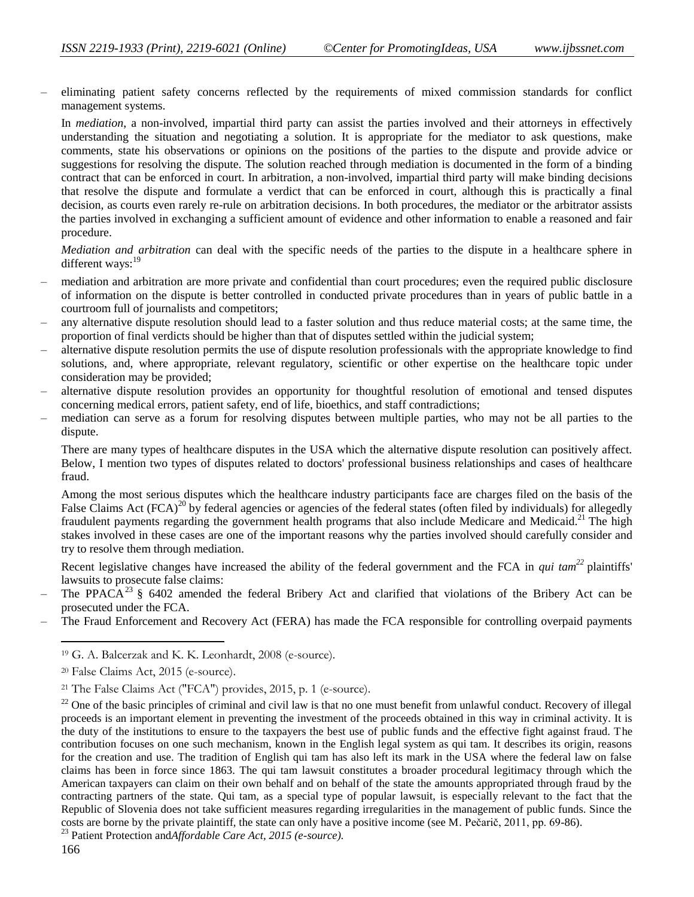– eliminating patient safety concerns reflected by the requirements of mixed commission standards for conflict management systems.

In *mediation*, a non-involved, impartial third party can assist the parties involved and their attorneys in effectively understanding the situation and negotiating a solution. It is appropriate for the mediator to ask questions, make comments, state his observations or opinions on the positions of the parties to the dispute and provide advice or suggestions for resolving the dispute. The solution reached through mediation is documented in the form of a binding contract that can be enforced in court. In arbitration, a non-involved, impartial third party will make binding decisions that resolve the dispute and formulate a verdict that can be enforced in court, although this is practically a final decision, as courts even rarely re-rule on arbitration decisions. In both procedures, the mediator or the arbitrator assists the parties involved in exchanging a sufficient amount of evidence and other information to enable a reasoned and fair procedure.

*Mediation and arbitration* can deal with the specific needs of the parties to the dispute in a healthcare sphere in different ways:<sup>19</sup>

- mediation and arbitration are more private and confidential than court procedures; even the required public disclosure of information on the dispute is better controlled in conducted private procedures than in years of public battle in a courtroom full of journalists and competitors;
- any alternative dispute resolution should lead to a faster solution and thus reduce material costs; at the same time, the proportion of final verdicts should be higher than that of disputes settled within the judicial system;
- alternative dispute resolution permits the use of dispute resolution professionals with the appropriate knowledge to find solutions, and, where appropriate, relevant regulatory, scientific or other expertise on the healthcare topic under consideration may be provided;
- alternative dispute resolution provides an opportunity for thoughtful resolution of emotional and tensed disputes concerning medical errors, patient safety, end of life, bioethics, and staff contradictions;
- mediation can serve as a forum for resolving disputes between multiple parties, who may not be all parties to the dispute.

There are many types of healthcare disputes in the USA which the alternative dispute resolution can positively affect. Below, I mention two types of disputes related to doctors' professional business relationships and cases of healthcare fraud.

Among the most serious disputes which the healthcare industry participants face are charges filed on the basis of the False Claims Act  $(FCA)^{20}$  by federal agencies or agencies of the federal states (often filed by individuals) for allegedly fraudulent payments regarding the government health programs that also include Medicare and Medicaid.<sup>21</sup> The high stakes involved in these cases are one of the important reasons why the parties involved should carefully consider and try to resolve them through mediation.

Recent legislative changes have increased the ability of the federal government and the FCA in *qui tam<sup>22</sup>* plaintiffs' lawsuits to prosecute false claims:

- The PPACA<sup>23</sup> § 6402 amended the federal Bribery Act and clarified that violations of the Bribery Act can be prosecuted under the FCA.
- The Fraud Enforcement and Recovery Act (FERA) has made the FCA responsible for controlling overpaid payments

<sup>19</sup> G. A. Balcerzak and K. K. Leonhardt, 2008 (e-source).

<sup>20</sup> False Claims Act, 2015 (e-source).

<sup>21</sup> The False Claims Act ("FCA") provides, 2015, p. 1 (e-source).

 $22$  One of the basic principles of criminal and civil law is that no one must benefit from unlawful conduct. Recovery of illegal proceeds is an important element in preventing the investment of the proceeds obtained in this way in criminal activity. It is the duty of the institutions to ensure to the taxpayers the best use of public funds and the effective fight against fraud. The contribution focuses on one such mechanism, known in the English legal system as qui tam. It describes its origin, reasons for the creation and use. The tradition of English qui tam has also left its mark in the USA where the federal law on false claims has been in force since 1863. The qui tam lawsuit constitutes a broader procedural legitimacy through which the American taxpayers can claim on their own behalf and on behalf of the state the amounts appropriated through fraud by the contracting partners of the state. Qui tam, as a special type of popular lawsuit, is especially relevant to the fact that the Republic of Slovenia does not take sufficient measures regarding irregularities in the management of public funds. Since the costs are borne by the private plaintiff, the state can only have a positive income (see M. Pečarič, 2011, pp. 69-86).

<sup>23</sup> Patient Protection and*Affordable Care Act, 2015 (e-source).*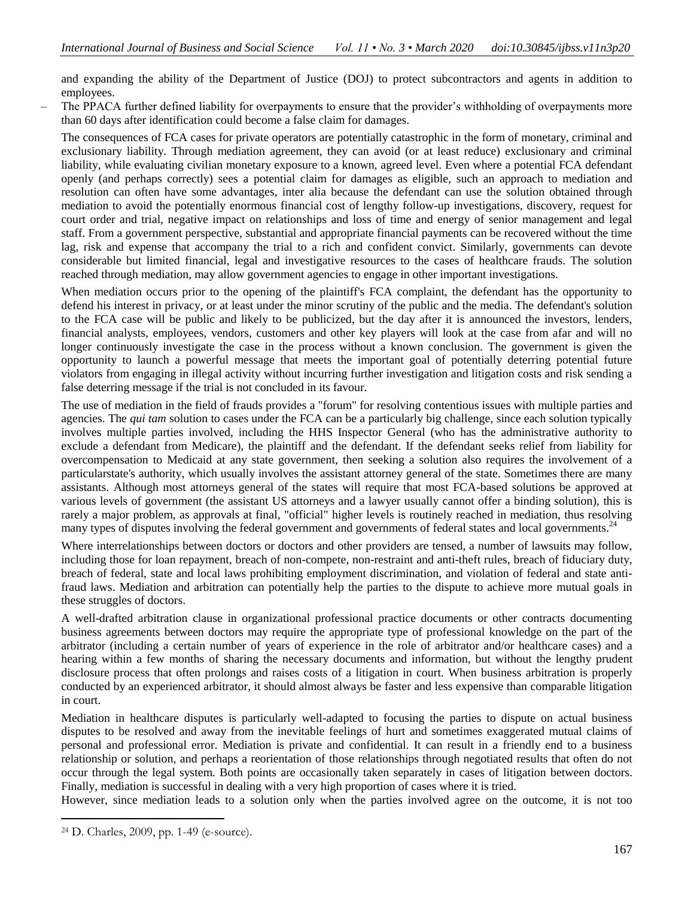and expanding the ability of the Department of Justice (DOJ) to protect subcontractors and agents in addition to employees.

– The PPACA further defined liability for overpayments to ensure that the provider's withholding of overpayments more than 60 days after identification could become a false claim for damages.

The consequences of FCA cases for private operators are potentially catastrophic in the form of monetary, criminal and exclusionary liability. Through mediation agreement, they can avoid (or at least reduce) exclusionary and criminal liability, while evaluating civilian monetary exposure to a known, agreed level. Even where a potential FCA defendant openly (and perhaps correctly) sees a potential claim for damages as eligible, such an approach to mediation and resolution can often have some advantages, inter alia because the defendant can use the solution obtained through mediation to avoid the potentially enormous financial cost of lengthy follow-up investigations, discovery, request for court order and trial, negative impact on relationships and loss of time and energy of senior management and legal staff. From a government perspective, substantial and appropriate financial payments can be recovered without the time lag, risk and expense that accompany the trial to a rich and confident convict. Similarly, governments can devote considerable but limited financial, legal and investigative resources to the cases of healthcare frauds. The solution reached through mediation, may allow government agencies to engage in other important investigations.

When mediation occurs prior to the opening of the plaintiff's FCA complaint, the defendant has the opportunity to defend his interest in privacy, or at least under the minor scrutiny of the public and the media. The defendant's solution to the FCA case will be public and likely to be publicized, but the day after it is announced the investors, lenders, financial analysts, employees, vendors, customers and other key players will look at the case from afar and will no longer continuously investigate the case in the process without a known conclusion. The government is given the opportunity to launch a powerful message that meets the important goal of potentially deterring potential future violators from engaging in illegal activity without incurring further investigation and litigation costs and risk sending a false deterring message if the trial is not concluded in its favour.

The use of mediation in the field of frauds provides a "forum" for resolving contentious issues with multiple parties and agencies. The *qui tam* solution to cases under the FCA can be a particularly big challenge, since each solution typically involves multiple parties involved, including the HHS Inspector General (who has the administrative authority to exclude a defendant from Medicare), the plaintiff and the defendant. If the defendant seeks relief from liability for overcompensation to Medicaid at any state government, then seeking a solution also requires the involvement of a particularstate's authority, which usually involves the assistant attorney general of the state. Sometimes there are many assistants. Although most attorneys general of the states will require that most FCA-based solutions be approved at various levels of government (the assistant US attorneys and a lawyer usually cannot offer a binding solution), this is rarely a major problem, as approvals at final, "official" higher levels is routinely reached in mediation, thus resolving many types of disputes involving the federal government and governments of federal states and local governments.<sup>24</sup>

Where interrelationships between doctors or doctors and other providers are tensed, a number of lawsuits may follow, including those for loan repayment, breach of non-compete, non-restraint and anti-theft rules, breach of fiduciary duty, breach of federal, state and local laws prohibiting employment discrimination, and violation of federal and state antifraud laws. Mediation and arbitration can potentially help the parties to the dispute to achieve more mutual goals in these struggles of doctors.

A well-drafted arbitration clause in organizational professional practice documents or other contracts documenting business agreements between doctors may require the appropriate type of professional knowledge on the part of the arbitrator (including a certain number of years of experience in the role of arbitrator and/or healthcare cases) and a hearing within a few months of sharing the necessary documents and information, but without the lengthy prudent disclosure process that often prolongs and raises costs of a litigation in court. When business arbitration is properly conducted by an experienced arbitrator, it should almost always be faster and less expensive than comparable litigation in court.

Mediation in healthcare disputes is particularly well-adapted to focusing the parties to dispute on actual business disputes to be resolved and away from the inevitable feelings of hurt and sometimes exaggerated mutual claims of personal and professional error. Mediation is private and confidential. It can result in a friendly end to a business relationship or solution, and perhaps a reorientation of those relationships through negotiated results that often do not occur through the legal system. Both points are occasionally taken separately in cases of litigation between doctors. Finally, mediation is successful in dealing with a very high proportion of cases where it is tried.

However, since mediation leads to a solution only when the parties involved agree on the outcome, it is not too

<sup>24</sup> D. Charles, 2009, pp. 1-49 (e-source).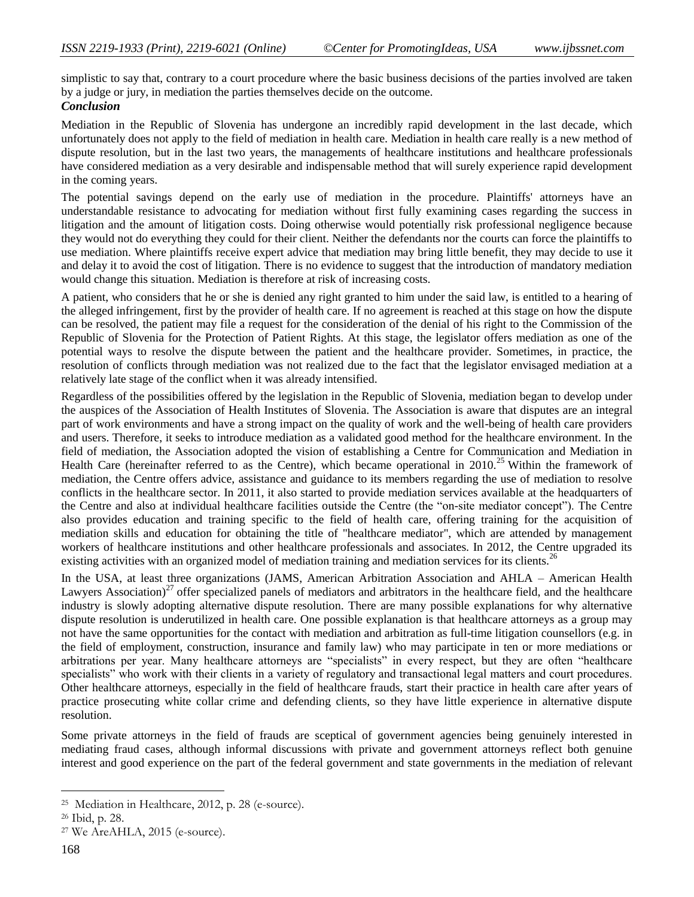simplistic to say that, contrary to a court procedure where the basic business decisions of the parties involved are taken by a judge or jury, in mediation the parties themselves decide on the outcome.

# *Conclusion*

Mediation in the Republic of Slovenia has undergone an incredibly rapid development in the last decade, which unfortunately does not apply to the field of mediation in health care. Mediation in health care really is a new method of dispute resolution, but in the last two years, the managements of healthcare institutions and healthcare professionals have considered mediation as a very desirable and indispensable method that will surely experience rapid development in the coming years.

The potential savings depend on the early use of mediation in the procedure. Plaintiffs' attorneys have an understandable resistance to advocating for mediation without first fully examining cases regarding the success in litigation and the amount of litigation costs. Doing otherwise would potentially risk professional negligence because they would not do everything they could for their client. Neither the defendants nor the courts can force the plaintiffs to use mediation. Where plaintiffs receive expert advice that mediation may bring little benefit, they may decide to use it and delay it to avoid the cost of litigation. There is no evidence to suggest that the introduction of mandatory mediation would change this situation. Mediation is therefore at risk of increasing costs.

A patient, who considers that he or she is denied any right granted to him under the said law, is entitled to a hearing of the alleged infringement, first by the provider of health care. If no agreement is reached at this stage on how the dispute can be resolved, the patient may file a request for the consideration of the denial of his right to the Commission of the Republic of Slovenia for the Protection of Patient Rights. At this stage, the legislator offers mediation as one of the potential ways to resolve the dispute between the patient and the healthcare provider. Sometimes, in practice, the resolution of conflicts through mediation was not realized due to the fact that the legislator envisaged mediation at a relatively late stage of the conflict when it was already intensified.

Regardless of the possibilities offered by the legislation in the Republic of Slovenia, mediation began to develop under the auspices of the Association of Health Institutes of Slovenia. The Association is aware that disputes are an integral part of work environments and have a strong impact on the quality of work and the well-being of health care providers and users. Therefore, it seeks to introduce mediation as a validated good method for the healthcare environment. In the field of mediation, the Association adopted the vision of establishing a Centre for Communication and Mediation in Health Care (hereinafter referred to as the Centre), which became operational in 2010.<sup>25</sup> Within the framework of mediation, the Centre offers advice, assistance and guidance to its members regarding the use of mediation to resolve conflicts in the healthcare sector. In 2011, it also started to provide mediation services available at the headquarters of the Centre and also at individual healthcare facilities outside the Centre (the "on-site mediator concept"). The Centre also provides education and training specific to the field of health care, offering training for the acquisition of mediation skills and education for obtaining the title of "healthcare mediator", which are attended by management workers of healthcare institutions and other healthcare professionals and associates. In 2012, the Centre upgraded its existing activities with an organized model of mediation training and mediation services for its clients.<sup>26</sup>

In the USA, at least three organizations (JAMS, American Arbitration Association and AHLA – American Health Lawyers Association)<sup>27</sup> offer specialized panels of mediators and arbitrators in the healthcare field, and the healthcare industry is slowly adopting alternative dispute resolution. There are many possible explanations for why alternative dispute resolution is underutilized in health care. One possible explanation is that healthcare attorneys as a group may not have the same opportunities for the contact with mediation and arbitration as full-time litigation counsellors (e.g. in the field of employment, construction, insurance and family law) who may participate in ten or more mediations or arbitrations per year. Many healthcare attorneys are "specialists" in every respect, but they are often "healthcare specialists" who work with their clients in a variety of regulatory and transactional legal matters and court procedures. Other healthcare attorneys, especially in the field of healthcare frauds, start their practice in health care after years of practice prosecuting white collar crime and defending clients, so they have little experience in alternative dispute resolution.

Some private attorneys in the field of frauds are sceptical of government agencies being genuinely interested in mediating fraud cases, although informal discussions with private and government attorneys reflect both genuine interest and good experience on the part of the federal government and state governments in the mediation of relevant

<sup>25</sup> Mediation in Healthcare, 2012, p. 28 (e-source).

<sup>26</sup> Ibid, p. 28.

<sup>27</sup> We AreAHLA, 2015 (e-source).